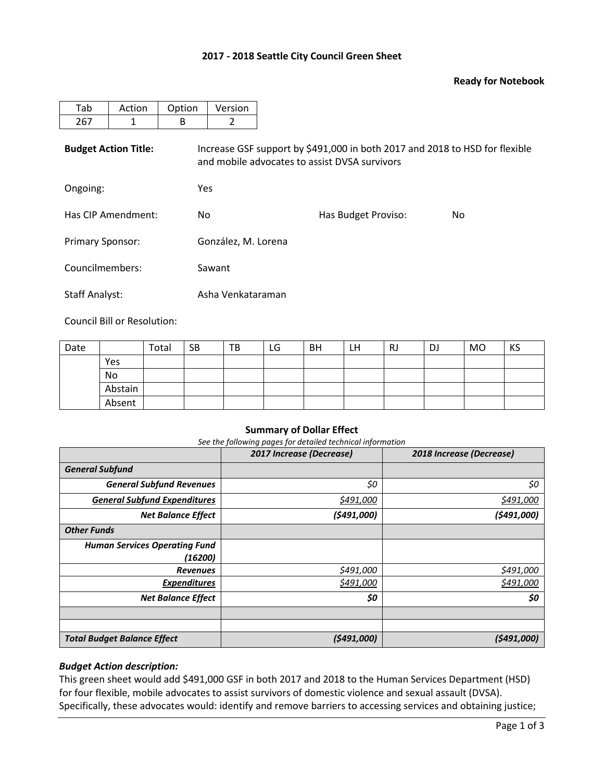### **2017 - 2018 Seattle City Council Green Sheet**

### **Ready for Notebook**

| Tab                         | Action | Option | Version                                                                                                                      |     |  |  |  |  |  |  |
|-----------------------------|--------|--------|------------------------------------------------------------------------------------------------------------------------------|-----|--|--|--|--|--|--|
| 267                         | 1      | B      | 2                                                                                                                            |     |  |  |  |  |  |  |
| <b>Budget Action Title:</b> |        |        | Increase GSF support by \$491,000 in both 2017 and 2018 to HSD for flexible<br>and mobile advocates to assist DVSA survivors |     |  |  |  |  |  |  |
| Ongoing:                    |        |        | Yes                                                                                                                          |     |  |  |  |  |  |  |
| Has CIP Amendment:          |        | No.    |                                                                                                                              | No. |  |  |  |  |  |  |
| <b>Primary Sponsor:</b>     |        |        | González, M. Lorena                                                                                                          |     |  |  |  |  |  |  |
| Councilmembers:             |        |        | Sawant                                                                                                                       |     |  |  |  |  |  |  |

Staff Analyst: Asha Venkataraman

Council Bill or Resolution:

| Date |         | Total | <b>SB</b> | TB | LG | <b>BH</b> | LH | RJ | DJ | <b>MO</b> | KS |
|------|---------|-------|-----------|----|----|-----------|----|----|----|-----------|----|
|      | Yes     |       |           |    |    |           |    |    |    |           |    |
|      | No      |       |           |    |    |           |    |    |    |           |    |
|      | Abstain |       |           |    |    |           |    |    |    |           |    |
|      | Absent  |       |           |    |    |           |    |    |    |           |    |

### **Summary of Dollar Effect**

*See the following pages for detailed technical information*

|                                      | 2017 Increase (Decrease) | 2018 Increase (Decrease) |
|--------------------------------------|--------------------------|--------------------------|
| <b>General Subfund</b>               |                          |                          |
| <b>General Subfund Revenues</b>      | \$0                      | \$0                      |
| <b>General Subfund Expenditures</b>  | \$491,000                | \$491,000                |
| <b>Net Balance Effect</b>            | (5491,000)               | (5491,000)               |
| <b>Other Funds</b>                   |                          |                          |
| <b>Human Services Operating Fund</b> |                          |                          |
| (16200)                              |                          |                          |
| <b>Revenues</b>                      | \$491,000                | \$491,000                |
| <b>Expenditures</b>                  | \$491,000                | \$491,000                |
| <b>Net Balance Effect</b>            | \$0                      | \$0                      |
|                                      |                          |                          |
|                                      |                          |                          |
| <b>Total Budget Balance Effect</b>   | (5491,000)               | (5491,000)               |

### *Budget Action description:*

This green sheet would add \$491,000 GSF in both 2017 and 2018 to the Human Services Department (HSD) for four flexible, mobile advocates to assist survivors of domestic violence and sexual assault (DVSA). Specifically, these advocates would: identify and remove barriers to accessing services and obtaining justice;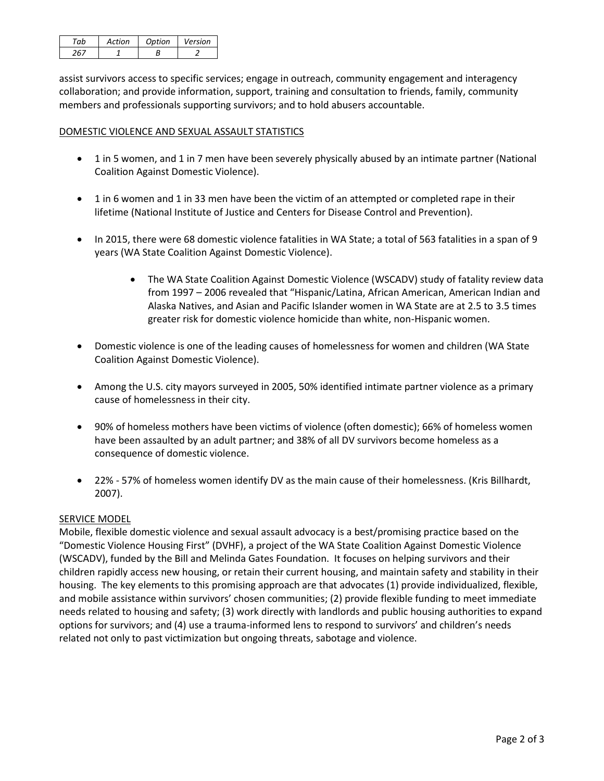| Artion | Ontion | Version |
|--------|--------|---------|
|        |        |         |

assist survivors access to specific services; engage in outreach, community engagement and interagency collaboration; and provide information, support, training and consultation to friends, family, community members and professionals supporting survivors; and to hold abusers accountable.

## DOMESTIC VIOLENCE AND SEXUAL ASSAULT STATISTICS

- 1 in 5 women, and 1 in 7 men have been severely physically abused by an intimate partner (National Coalition Against Domestic Violence).
- 1 in 6 women and 1 in 33 men have been the victim of an attempted or completed rape in their lifetime (National Institute of Justice and Centers for Disease Control and Prevention).
- In 2015, there were 68 domestic violence fatalities in WA State; a total of 563 fatalities in a span of 9 years (WA State Coalition Against Domestic Violence).
	- The WA State Coalition Against Domestic Violence (WSCADV) study of fatality review data from 1997 – 2006 revealed that "Hispanic/Latina, African American, American Indian and Alaska Natives, and Asian and Pacific Islander women in WA State are at 2.5 to 3.5 times greater risk for domestic violence homicide than white, non-Hispanic women.
- Domestic violence is one of the leading causes of homelessness for women and children (WA State Coalition Against Domestic Violence).
- Among the U.S. city mayors surveyed in 2005, 50% identified intimate partner violence as a primary cause of homelessness in their city.
- 90% of homeless mothers have been victims of violence (often domestic); 66% of homeless women have been assaulted by an adult partner; and 38% of all DV survivors become homeless as a consequence of domestic violence.
- 22% 57% of homeless women identify DV as the main cause of their homelessness. (Kris Billhardt, 2007).

#### SERVICE MODEL

Mobile, flexible domestic violence and sexual assault advocacy is a best/promising practice based on the "Domestic Violence Housing First" (DVHF), a project of the WA State Coalition Against Domestic Violence (WSCADV), funded by the Bill and Melinda Gates Foundation. It focuses on helping survivors and their children rapidly access new housing, or retain their current housing, and maintain safety and stability in their housing. The key elements to this promising approach are that advocates (1) provide individualized, flexible, and mobile assistance within survivors' chosen communities; (2) provide flexible funding to meet immediate needs related to housing and safety; (3) work directly with landlords and public housing authorities to expand options for survivors; and (4) use a trauma-informed lens to respond to survivors' and children's needs related not only to past victimization but ongoing threats, sabotage and violence.